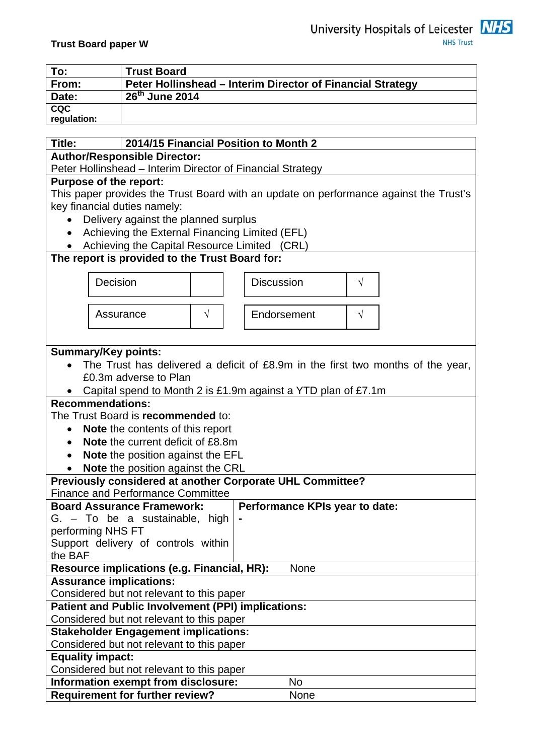| <b>NHS Trust</b> |
|------------------|
|                  |
|                  |

| To:         | <b>Trust Board</b>                                         |
|-------------|------------------------------------------------------------|
| From:       | Peter Hollinshead – Interim Director of Financial Strategy |
| Date:       | $26^{\text{th}}$ June 2014                                 |
| <b>CQC</b>  |                                                            |
| regulation: |                                                            |
|             |                                                            |

# **Title: 2014/15 Financial Position to Month 2**

**Author/Responsible Director:** 

Peter Hollinshead – Interim Director of Financial Strategy

## **Purpose of the report:**

This paper provides the Trust Board with an update on performance against the Trust's key financial duties namely:

- Delivery against the planned surplus
- Achieving the External Financing Limited (EFL)
- Achieving the Capital Resource Limited (CRL)

## **The report is provided to the Trust Board for:**

| Decision                                                  |                                          | <b>Discussion</b>                                             | $\sqrt{}$                                                                       |
|-----------------------------------------------------------|------------------------------------------|---------------------------------------------------------------|---------------------------------------------------------------------------------|
| Assurance                                                 | $\sqrt{}$                                | Endorsement                                                   | $\sqrt{}$                                                                       |
|                                                           |                                          |                                                               |                                                                                 |
| <b>Summary/Key points:</b>                                |                                          |                                                               |                                                                                 |
|                                                           |                                          |                                                               | The Trust has delivered a deficit of £8.9m in the first two months of the year, |
| £0.3m adverse to Plan                                     |                                          |                                                               |                                                                                 |
|                                                           |                                          | Capital spend to Month 2 is £1.9m against a YTD plan of £7.1m |                                                                                 |
| <b>Recommendations:</b>                                   |                                          |                                                               |                                                                                 |
| The Trust Board is recommended to:                        |                                          |                                                               |                                                                                 |
| $\bullet$                                                 | Note the contents of this report         |                                                               |                                                                                 |
|                                                           | Note the current deficit of £8.8m        |                                                               |                                                                                 |
|                                                           | <b>Note the position against the EFL</b> |                                                               |                                                                                 |
|                                                           | Note the position against the CRL        |                                                               |                                                                                 |
|                                                           |                                          | Previously considered at another Corporate UHL Committee?     |                                                                                 |
| <b>Finance and Performance Committee</b>                  |                                          |                                                               |                                                                                 |
| <b>Board Assurance Framework:</b>                         |                                          | Performance KPIs year to date:                                |                                                                                 |
| G. - To be a sustainable, high                            |                                          |                                                               |                                                                                 |
| performing NHS FT                                         |                                          |                                                               |                                                                                 |
| Support delivery of controls within                       |                                          |                                                               |                                                                                 |
| the BAF                                                   |                                          |                                                               |                                                                                 |
| Resource implications (e.g. Financial, HR):               |                                          | <b>None</b>                                                   |                                                                                 |
| <b>Assurance implications:</b>                            |                                          |                                                               |                                                                                 |
| Considered but not relevant to this paper                 |                                          |                                                               |                                                                                 |
| <b>Patient and Public Involvement (PPI) implications:</b> |                                          |                                                               |                                                                                 |
| Considered but not relevant to this paper                 |                                          |                                                               |                                                                                 |
| <b>Stakeholder Engagement implications:</b>               |                                          |                                                               |                                                                                 |
| Considered but not relevant to this paper                 |                                          |                                                               |                                                                                 |
| <b>Equality impact:</b>                                   |                                          |                                                               |                                                                                 |
| Considered but not relevant to this paper                 |                                          |                                                               |                                                                                 |
| Information exempt from disclosure:                       |                                          | <b>No</b>                                                     |                                                                                 |
| <b>Requirement for further review?</b>                    |                                          | None                                                          |                                                                                 |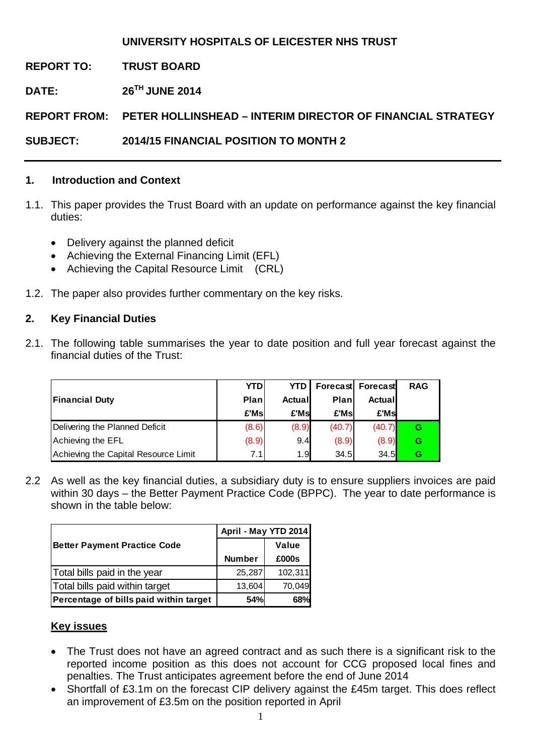## **UNIVERSITY HOSPITALS OF LEICESTER NHS TRUST**

**REPORT TO: TRUST BOARD** 

**DATE: 26TH JUNE 2014** 

**REPORT FROM: PETER HOLLINSHEAD – INTERIM DIRECTOR OF FINANCIAL STRATEGY** 

**SUBJECT: 2014/15 FINANCIAL POSITION TO MONTH 2** 

### **1. Introduction and Context**

- 1.1. This paper provides the Trust Board with an update on performance against the key financial duties:
	- Delivery against the planned deficit
	- Achieving the External Financing Limit (EFL)
	- Achieving the Capital Resource Limit (CRL)
- 1.2. The paper also provides further commentary on the key risks.

## **2. Key Financial Duties**

2.1. The following table summarises the year to date position and full year forecast against the financial duties of the Trust:

|                                      | <b>YTD</b> | <b>YTD</b> |        | Forecast Forecast | <b>RAG</b> |
|--------------------------------------|------------|------------|--------|-------------------|------------|
| <b>Financial Duty</b>                | Plan       | Actuall    | Plan   | Actual            |            |
|                                      | £'Ms       | £'Msl      | £'Msl  | £'Msl             |            |
| Delivering the Planned Deficit       | (8.6)      | (8.9)      | (40.7) | (40.7)            | G          |
| Achieving the EFL                    | (8.9)      | 9.4        | (8.9)  | (8.9)             | G          |
| Achieving the Capital Resource Limit | 7.1        | 1.9        | 34.5   | 34.5              | G          |

2.2 As well as the key financial duties, a subsidiary duty is to ensure suppliers invoices are paid within 30 days – the Better Payment Practice Code (BPPC). The year to date performance is shown in the table below:

|                                        | April - May YTD 2014 |         |  |  |
|----------------------------------------|----------------------|---------|--|--|
| <b>Better Payment Practice Code</b>    |                      | Value   |  |  |
|                                        | <b>Number</b>        | £000s   |  |  |
| Total bills paid in the year           | 25,287               | 102,311 |  |  |
| Total bills paid within target         | 13,604               | 70,049  |  |  |
| Percentage of bills paid within target | 54%                  | 68%     |  |  |

## **Key issues**

- The Trust does not have an agreed contract and as such there is a significant risk to the reported income position as this does not account for CCG proposed local fines and penalties. The Trust anticipates agreement before the end of June 2014
- Shortfall of £3.1m on the forecast CIP delivery against the £45m target. This does reflect an improvement of £3.5m on the position reported in April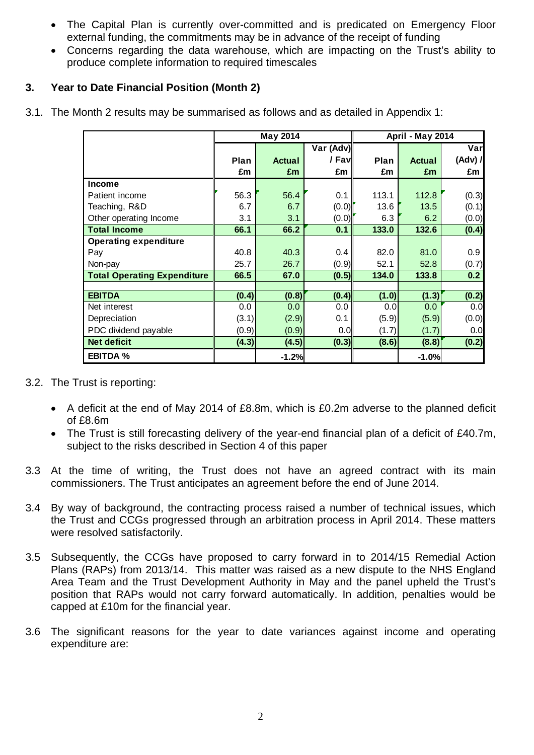- The Capital Plan is currently over-committed and is predicated on Emergency Floor external funding, the commitments may be in advance of the receipt of funding
- Concerns regarding the data warehouse, which are impacting on the Trust's ability to produce complete information to required timescales

## **3. Year to Date Financial Position (Month 2)**

|  | 3.1. The Month 2 results may be summarised as follows and as detailed in Appendix 1: |  |  |
|--|--------------------------------------------------------------------------------------|--|--|
|  |                                                                                      |  |  |

|                                    | May 2014    |               |           | April - May 2014 |               |         |
|------------------------------------|-------------|---------------|-----------|------------------|---------------|---------|
|                                    |             |               | Var (Adv) |                  |               | Varl    |
|                                    | <b>Plan</b> | <b>Actual</b> | / Fav∥    | Plan             | <b>Actual</b> | (Adv) / |
|                                    | £m          | £m            | £m        | £m               | £m            | £m      |
| <b>Income</b>                      |             |               |           |                  |               |         |
| Patient income                     | 56.3        | 56.4          | 0.1       | 113.1            | 112.8         | (0.3)   |
| Teaching, R&D                      | 6.7         | 6.7           | (0.0)     | 13.6             | 13.5          | (0.1)   |
| Other operating Income             | 3.1         | 3.1           | (0.0)     | 6.3              | 6.2           | (0.0)   |
| <b>Total Income</b>                | 66.1        | 66.2          | 0.1       | 133.0            | 132.6         | (0.4)   |
| <b>Operating expenditure</b>       |             |               |           |                  |               |         |
| Pay                                | 40.8        | 40.3          | 0.4       | 82.0             | 81.0          | 0.9     |
| Non-pay                            | 25.7        | 26.7          | (0.9)     | 52.1             | 52.8          | (0.7)   |
| <b>Total Operating Expenditure</b> | 66.5        | 67.0          | (0.5)     | 134.0            | 133.8         | 0.2     |
|                                    |             |               |           |                  |               |         |
| <b>EBITDA</b>                      | (0.4)       | (0.8)         | (0.4)     | (1.0)            | (1.3)         | (0.2)   |
| Net interest                       | 0.0         | 0.0           | 0.0       | 0.0              | 0.0           | 0.0     |
| Depreciation                       | (3.1)       | (2.9)         | 0.1       | (5.9)            | (5.9)         | (0.0)   |
| PDC dividend payable               | (0.9)       | (0.9)         | 0.0       | (1.7)            | (1.7)         | 0.0     |
| <b>Net deficit</b>                 | (4.3)       | (4.5)         | (0.3)     | (8.6)            | (8.8)         | (0.2)   |
| <b>EBITDA %</b>                    |             | $-1.2%$       |           |                  | $-1.0%$       |         |

- 3.2. The Trust is reporting:
	- A deficit at the end of May 2014 of £8.8m, which is £0.2m adverse to the planned deficit of £8.6m
	- The Trust is still forecasting delivery of the year-end financial plan of a deficit of £40.7m, subject to the risks described in Section 4 of this paper
- 3.3 At the time of writing, the Trust does not have an agreed contract with its main commissioners. The Trust anticipates an agreement before the end of June 2014.
- 3.4 By way of background, the contracting process raised a number of technical issues, which the Trust and CCGs progressed through an arbitration process in April 2014. These matters were resolved satisfactorily.
- 3.5 Subsequently, the CCGs have proposed to carry forward in to 2014/15 Remedial Action Plans (RAPs) from 2013/14. This matter was raised as a new dispute to the NHS England Area Team and the Trust Development Authority in May and the panel upheld the Trust's position that RAPs would not carry forward automatically. In addition, penalties would be capped at £10m for the financial year.
- 3.6 The significant reasons for the year to date variances against income and operating expenditure are: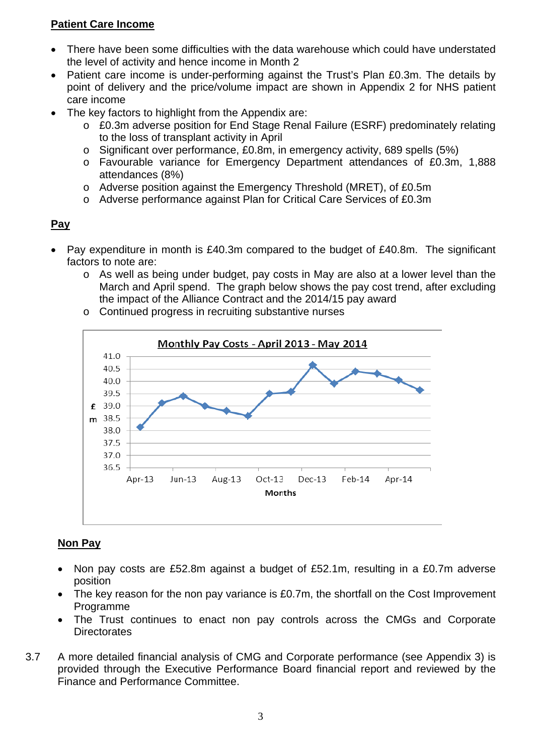## **Patient Care Income**

- There have been some difficulties with the data warehouse which could have understated the level of activity and hence income in Month 2
- Patient care income is under-performing against the Trust's Plan £0.3m. The details by point of delivery and the price/volume impact are shown in Appendix 2 for NHS patient care income
- The key factors to highlight from the Appendix are:
	- o £0.3m adverse position for End Stage Renal Failure (ESRF) predominately relating to the loss of transplant activity in April
	- o Significant over performance, £0.8m, in emergency activity, 689 spells (5%)
	- o Favourable variance for Emergency Department attendances of £0.3m, 1,888 attendances (8%)
	- o Adverse position against the Emergency Threshold (MRET), of £0.5m
	- o Adverse performance against Plan for Critical Care Services of £0.3m

## **Pay**

- Pay expenditure in month is £40.3m compared to the budget of £40.8m. The significant factors to note are:
	- o As well as being under budget, pay costs in May are also at a lower level than the March and April spend. The graph below shows the pay cost trend, after excluding the impact of the Alliance Contract and the 2014/15 pay award
	- o Continued progress in recruiting substantive nurses



## **Non Pay**

- Non pay costs are £52.8m against a budget of £52.1m, resulting in a £0.7m adverse position
- The key reason for the non pay variance is £0.7m, the shortfall on the Cost Improvement Programme
- The Trust continues to enact non pay controls across the CMGs and Corporate **Directorates**
- 3.7 A more detailed financial analysis of CMG and Corporate performance (see Appendix 3) is provided through the Executive Performance Board financial report and reviewed by the Finance and Performance Committee.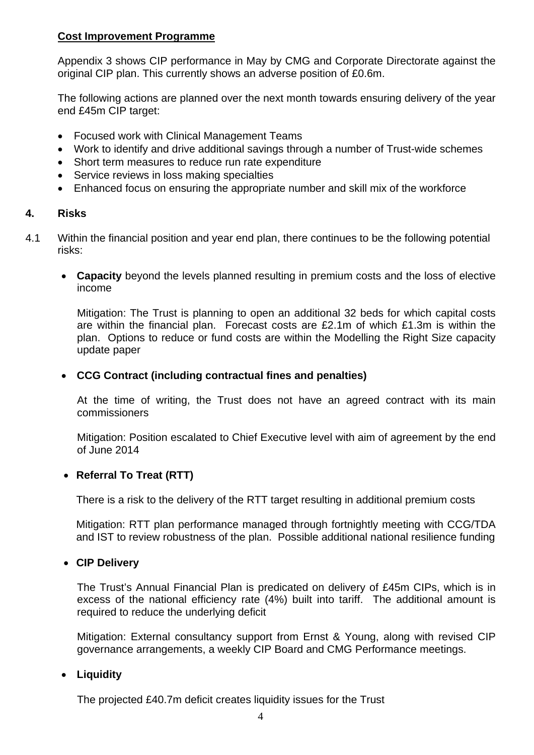#### **Cost Improvement Programme**

Appendix 3 shows CIP performance in May by CMG and Corporate Directorate against the original CIP plan. This currently shows an adverse position of £0.6m.

The following actions are planned over the next month towards ensuring delivery of the year end £45m CIP target:

- Focused work with Clinical Management Teams
- Work to identify and drive additional savings through a number of Trust-wide schemes
- Short term measures to reduce run rate expenditure
- Service reviews in loss making specialties
- Enhanced focus on ensuring the appropriate number and skill mix of the workforce

### **4. Risks**

- 4.1 Within the financial position and year end plan, there continues to be the following potential risks:
	- • **Capacity** beyond the levels planned resulting in premium costs and the loss of elective income

Mitigation: The Trust is planning to open an additional 32 beds for which capital costs are within the financial plan. Forecast costs are £2.1m of which £1.3m is within the plan. Options to reduce or fund costs are within the Modelling the Right Size capacity update paper

### • **CCG Contract (including contractual fines and penalties)**

At the time of writing, the Trust does not have an agreed contract with its main commissioners

Mitigation: Position escalated to Chief Executive level with aim of agreement by the end of June 2014

#### • **Referral To Treat (RTT)**

There is a risk to the delivery of the RTT target resulting in additional premium costs

Mitigation: RTT plan performance managed through fortnightly meeting with CCG/TDA and IST to review robustness of the plan. Possible additional national resilience funding

#### • **CIP Delivery**

The Trust's Annual Financial Plan is predicated on delivery of £45m CIPs, which is in excess of the national efficiency rate (4%) built into tariff. The additional amount is required to reduce the underlying deficit

Mitigation: External consultancy support from Ernst & Young, along with revised CIP governance arrangements, a weekly CIP Board and CMG Performance meetings.

#### • **Liquidity**

The projected £40.7m deficit creates liquidity issues for the Trust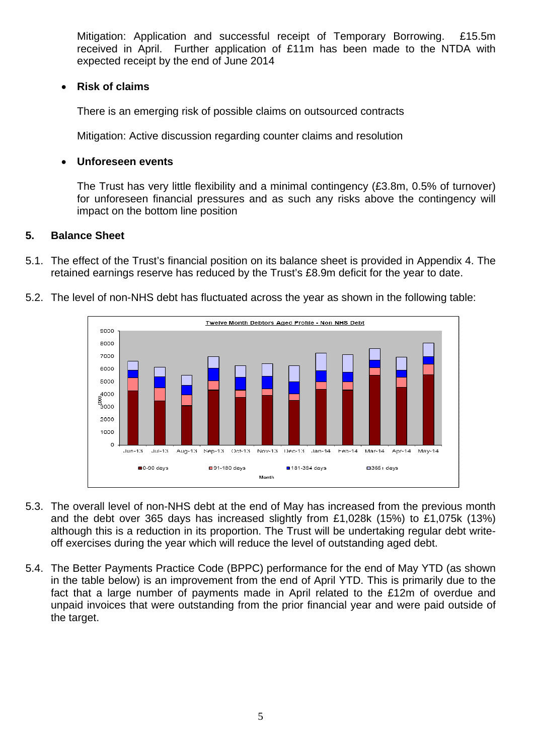Mitigation: Application and successful receipt of Temporary Borrowing. £15.5m received in April. Further application of £11m has been made to the NTDA with expected receipt by the end of June 2014

### • **Risk of claims**

There is an emerging risk of possible claims on outsourced contracts

Mitigation: Active discussion regarding counter claims and resolution

### • **Unforeseen events**

The Trust has very little flexibility and a minimal contingency (£3.8m, 0.5% of turnover) for unforeseen financial pressures and as such any risks above the contingency will impact on the bottom line position

### **5. Balance Sheet**

5.1. The effect of the Trust's financial position on its balance sheet is provided in Appendix 4. The retained earnings reserve has reduced by the Trust's £8.9m deficit for the year to date.



5.2. The level of non-NHS debt has fluctuated across the year as shown in the following table:

- 5.3. The overall level of non-NHS debt at the end of May has increased from the previous month and the debt over 365 days has increased slightly from £1,028k (15%) to £1,075k (13%) although this is a reduction in its proportion. The Trust will be undertaking regular debt writeoff exercises during the year which will reduce the level of outstanding aged debt.
- 5.4. The Better Payments Practice Code (BPPC) performance for the end of May YTD (as shown in the table below) is an improvement from the end of April YTD. This is primarily due to the fact that a large number of payments made in April related to the £12m of overdue and unpaid invoices that were outstanding from the prior financial year and were paid outside of the target.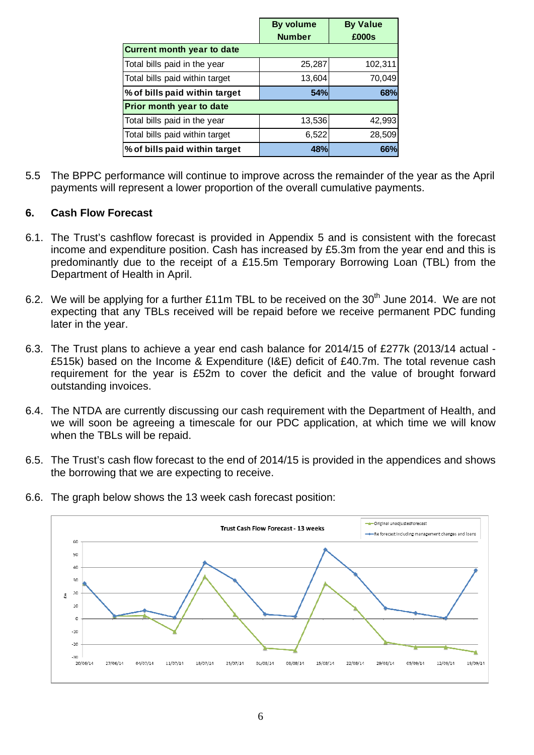|                                   | <b>By volume</b> | <b>By Value</b> |
|-----------------------------------|------------------|-----------------|
|                                   | <b>Number</b>    | £000s           |
| <b>Current month year to date</b> |                  |                 |
| Total bills paid in the year      | 25,287           | 102,311         |
| Total bills paid within target    | 13,604           | 70,049          |
| % of bills paid within target     | 54%              | 68%             |
| Prior month year to date          |                  |                 |
| Total bills paid in the year      | 13,536           | 42,993          |
| Total bills paid within target    | 6,522            | 28,509          |
| % of bills paid within target     | 48%              | 66%             |

5.5 The BPPC performance will continue to improve across the remainder of the year as the April payments will represent a lower proportion of the overall cumulative payments.

### **6. Cash Flow Forecast**

- 6.1. The Trust's cashflow forecast is provided in Appendix 5 and is consistent with the forecast income and expenditure position. Cash has increased by £5.3m from the year end and this is predominantly due to the receipt of a £15.5m Temporary Borrowing Loan (TBL) from the Department of Health in April.
- 6.2. We will be applying for a further £11m TBL to be received on the 30<sup>th</sup> June 2014. We are not expecting that any TBLs received will be repaid before we receive permanent PDC funding later in the year.
- 6.3. The Trust plans to achieve a year end cash balance for 2014/15 of £277k (2013/14 actual £515k) based on the Income & Expenditure (I&E) deficit of £40.7m. The total revenue cash requirement for the year is £52m to cover the deficit and the value of brought forward outstanding invoices.
- 6.4. The NTDA are currently discussing our cash requirement with the Department of Health, and we will soon be agreeing a timescale for our PDC application, at which time we will know when the TBLs will be repaid.
- 6.5. The Trust's cash flow forecast to the end of 2014/15 is provided in the appendices and shows the borrowing that we are expecting to receive.



6.6. The graph below shows the 13 week cash forecast position: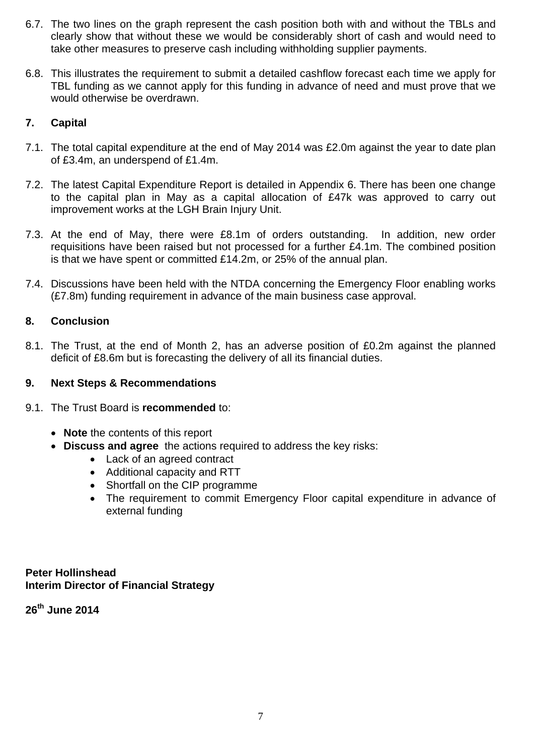- 6.7. The two lines on the graph represent the cash position both with and without the TBLs and clearly show that without these we would be considerably short of cash and would need to take other measures to preserve cash including withholding supplier payments.
- 6.8. This illustrates the requirement to submit a detailed cashflow forecast each time we apply for TBL funding as we cannot apply for this funding in advance of need and must prove that we would otherwise be overdrawn.

## **7. Capital**

- 7.1. The total capital expenditure at the end of May 2014 was £2.0m against the year to date plan of £3.4m, an underspend of £1.4m.
- 7.2. The latest Capital Expenditure Report is detailed in Appendix 6. There has been one change to the capital plan in May as a capital allocation of £47k was approved to carry out improvement works at the LGH Brain Injury Unit.
- 7.3. At the end of May, there were £8.1m of orders outstanding. In addition, new order requisitions have been raised but not processed for a further £4.1m. The combined position is that we have spent or committed £14.2m, or 25% of the annual plan.
- 7.4. Discussions have been held with the NTDA concerning the Emergency Floor enabling works (£7.8m) funding requirement in advance of the main business case approval.

## **8. Conclusion**

8.1. The Trust, at the end of Month 2, has an adverse position of £0.2m against the planned deficit of £8.6m but is forecasting the delivery of all its financial duties.

#### **9. Next Steps & Recommendations**

- 9.1. The Trust Board is **recommended** to:
	- **Note** the contents of this report
	- **Discuss and agree** the actions required to address the key risks:
		- Lack of an agreed contract
		- Additional capacity and RTT
		- Shortfall on the CIP programme
		- The requirement to commit Emergency Floor capital expenditure in advance of external funding

**Peter Hollinshead Interim Director of Financial Strategy** 

**26th June 2014**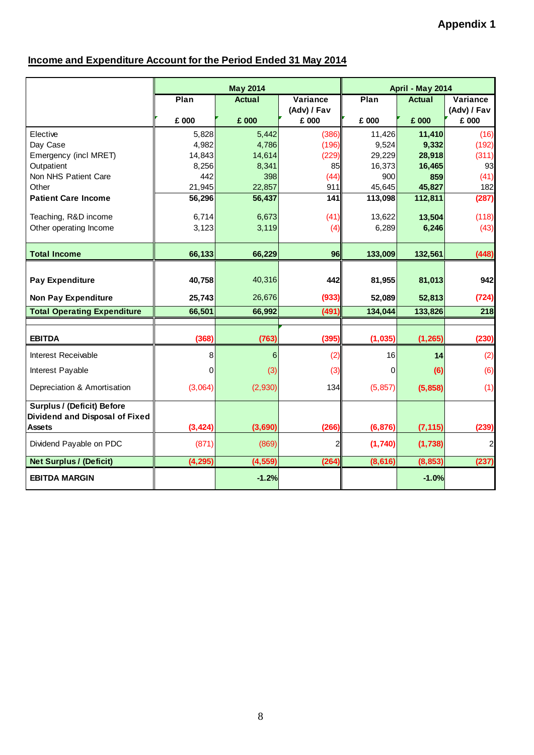## **Income and Expenditure Account for the Period Ended 31 May 2014**

|                                     | <b>May 2014</b> |                 |                | April - May 2014 |                  |                |
|-------------------------------------|-----------------|-----------------|----------------|------------------|------------------|----------------|
|                                     | Plan            | <b>Actual</b>   | Variance       | Plan             | <b>Actual</b>    | Variance       |
|                                     |                 |                 | (Adv) / Fav    |                  |                  | (Adv) / Fav    |
|                                     | £ 000           | £ 000           | £ 000          | £ 000            | £ 000            | £ 000          |
| Elective                            | 5,828           | 5,442           | (386)          | 11,426           | 11,410           | (16)           |
| Day Case                            | 4,982           | 4,786           | (196)          | 9,524            | 9,332            | (192)          |
| Emergency (incl MRET)<br>Outpatient | 14,843<br>8,256 | 14,614<br>8,341 | (229)<br>85    | 29,229<br>16,373 | 28,918<br>16,465 | (311)<br>93    |
| Non NHS Patient Care                | 442             | 398             | (44)           | 900              | 859              | (41)           |
| Other                               | 21,945          | 22,857          | 911            | 45,645           | 45,827           | 182            |
| <b>Patient Care Income</b>          | 56,296          | 56,437          | 141            | 113,098          | 112,811          | (287)          |
| Teaching, R&D income                | 6,714           | 6,673           | (41)           | 13,622           | 13,504           | (118)          |
| Other operating Income              | 3,123           | 3,119           | (4)            | 6,289            | 6,246            | (43)           |
|                                     |                 |                 |                |                  |                  |                |
| <b>Total Income</b>                 | 66,133          | 66,229          | 96             | 133,009          | 132,561          | (448)          |
|                                     |                 |                 |                |                  |                  |                |
| <b>Pay Expenditure</b>              | 40,758          | 40,316          | 442            | 81,955           | 81,013           | 942            |
| <b>Non Pay Expenditure</b>          | 25,743          | 26,676          | (933)          | 52,089           | 52,813           | (724)          |
| <b>Total Operating Expenditure</b>  | 66,501          | 66,992          | (491)          | 134,044          | 133,826          | 218            |
|                                     |                 |                 |                |                  |                  |                |
| <b>EBITDA</b>                       | (368)           | (763)           | (395)          | (1,035)          | (1, 265)         | (230)          |
| Interest Receivable                 | 8               | 6               | (2)            | 16               | 14               | (2)            |
| Interest Payable                    | $\Omega$        | (3)             | (3)            | $\Omega$         | (6)              | (6)            |
| Depreciation & Amortisation         | (3,064)         | (2,930)         | 134            | (5, 857)         | (5,858)          | (1)            |
| <b>Surplus / (Deficit) Before</b>   |                 |                 |                |                  |                  |                |
| Dividend and Disposal of Fixed      |                 |                 |                |                  |                  |                |
| <b>Assets</b>                       | (3, 424)        | (3,690)         | (266)          | (6, 876)         | (7, 115)         | (239)          |
| Dividend Payable on PDC             | (871)           | (869)           | $\overline{2}$ | (1,740)          | (1,738)          | $\overline{a}$ |
| <b>Net Surplus / (Deficit)</b>      | (4, 295)        | (4, 559)        | (264)          | (8, 616)         | (8, 853)         | (237)          |
| <b>EBITDA MARGIN</b>                |                 | $-1.2%$         |                |                  | $-1.0%$          |                |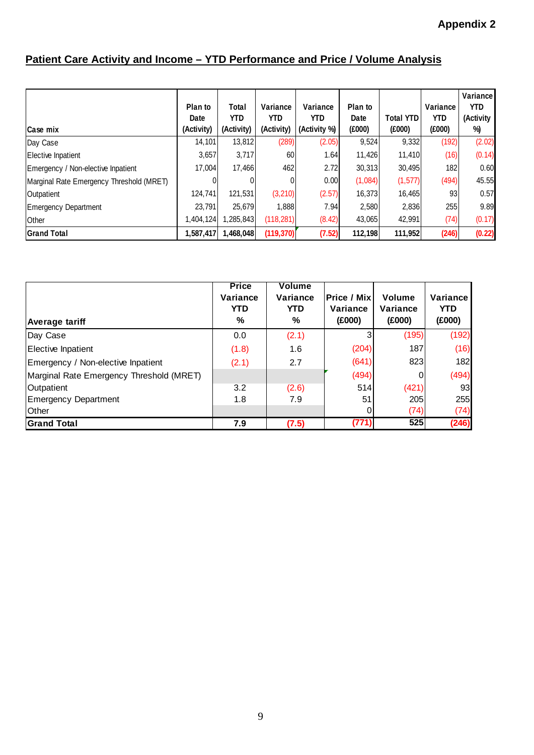## **Patient Care Activity and Income – YTD Performance and Price / Volume Analysis**

| Case mix                                 | Plan to<br>Date<br>(Activity) | Total<br>YTD.<br>(Activity) | Variance<br><b>YTD</b><br>(Activity) | Variance<br>YTD<br>(Activity %) | Plan to<br>Date<br>(E000) | Total YTD<br>(E000) | Variance<br><b>YTD</b><br>(E000) | <b>Variance</b><br><b>YTD</b><br>(Activity<br>%) |
|------------------------------------------|-------------------------------|-----------------------------|--------------------------------------|---------------------------------|---------------------------|---------------------|----------------------------------|--------------------------------------------------|
| Day Case                                 | 14,101                        | 13,812                      | (289)                                | (2.05)                          | 9,524                     | 9,332               | (192)                            | (2.02)                                           |
| Elective Inpatient                       | 3,657                         | 3,717                       | 60                                   | 1.64                            | 11,426                    | 11,410              | (16)                             | (0.14)                                           |
| Emergency / Non-elective Inpatient       | 17,004                        | 17,466                      | 462                                  | 2.72                            | 30,313                    | 30,495              | 182                              | 0.60                                             |
| Marginal Rate Emergency Threshold (MRET) |                               |                             | 0                                    | 0.00                            | (1,084)                   | (1, 577)            | (494)                            | 45.55                                            |
| Outpatient                               | 124,741                       | 121,531                     | (3,210)                              | (2.57)                          | 16,373                    | 16,465              | 93                               | 0.57                                             |
| <b>Emergency Department</b>              | 23.791                        | 25,679                      | 1,888                                | 7.94                            | 2,580                     | 2,836               | 255                              | 9.89                                             |
| Other                                    | 1,404,124                     | 1,285,843                   | (118, 281)                           | (8.42)                          | 43,065                    | 42,991              | (74)                             | (0.17)                                           |
| <b>Grand Total</b>                       | 1,587,417                     | 1,468,048                   | (119, 370)                           | (7.52)                          | 112,198                   | 111,952             | (246)                            | (0.22)                                           |

| Average tariff                           | <b>Price</b><br>Variance<br><b>YTD</b><br>% | Volume<br>Variance<br><b>YTD</b><br>℅ | Price / Mix<br>Variance<br>(E000) | Volume<br>Variance<br>(E000) | Variance<br>YTD<br>(E000) |
|------------------------------------------|---------------------------------------------|---------------------------------------|-----------------------------------|------------------------------|---------------------------|
| Day Case                                 | 0.0                                         | (2.1)                                 |                                   | (195)                        | (192)                     |
| Elective Inpatient                       | (1.8)                                       | 1.6                                   | (204)                             | 187                          | (16)                      |
| Emergency / Non-elective Inpatient       | (2.1)                                       | 2.7                                   | (641)                             | 823                          | 182                       |
| Marginal Rate Emergency Threshold (MRET) |                                             |                                       | (494)                             | $\Omega$                     | (494)                     |
| Outpatient                               | 3.2                                         | (2.6)                                 | 514                               | (421)                        | 93                        |
| <b>Emergency Department</b>              | 1.8                                         | 7.9                                   | 51                                | 205                          | 255                       |
| Other                                    |                                             |                                       |                                   | (74)                         | (74)                      |
| <b>Grand Total</b>                       | 7.9                                         | (7.5)                                 | (771)                             | 525                          | (246)                     |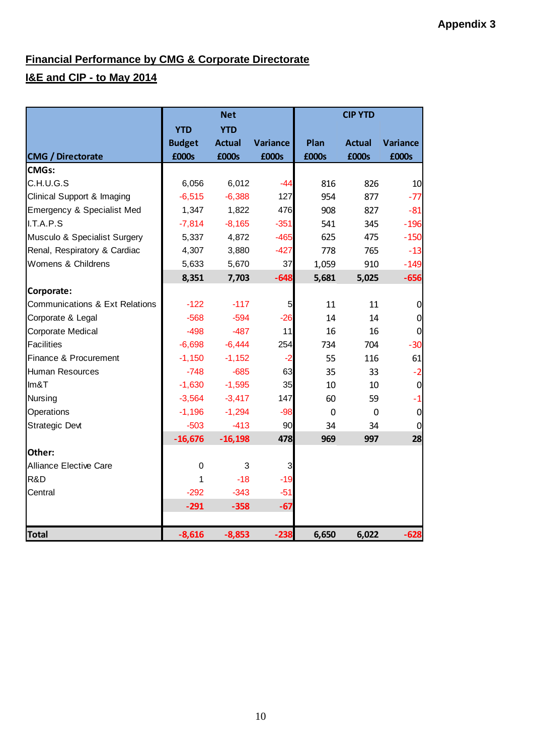## **Financial Performance by CMG & Corporate Directorate**

## **I&E and CIP - to May 2014**

|                                | <b>Net</b>    |               |          | <b>CIP YTD</b> |               |                 |  |
|--------------------------------|---------------|---------------|----------|----------------|---------------|-----------------|--|
|                                | <b>YTD</b>    | <b>YTD</b>    |          |                |               |                 |  |
|                                | <b>Budget</b> | <b>Actual</b> | Variance | Plan           | <b>Actual</b> | <b>Variance</b> |  |
| <b>CMG / Directorate</b>       | £000s         | £000s         | £000s    | £000s          | £000s         | £000s           |  |
| <b>CMGs:</b>                   |               |               |          |                |               |                 |  |
| C.H.U.G.S                      | 6,056         | 6,012         | $-44$    | 816            | 826           | 10              |  |
| Clinical Support & Imaging     | $-6,515$      | $-6,388$      | 127      | 954            | 877           | $-77$           |  |
| Emergency & Specialist Med     | 1,347         | 1,822         | 476      | 908            | 827           | $-81$           |  |
| I.T.A.P.S                      | $-7,814$      | $-8,165$      | $-351$   | 541            | 345           | $-196$          |  |
| Musculo & Specialist Surgery   | 5,337         | 4,872         | $-465$   | 625            | 475           | $-150$          |  |
| Renal, Respiratory & Cardiac   | 4,307         | 3,880         | $-427$   | 778            | 765           | $-13$           |  |
| Womens & Childrens             | 5,633         | 5,670         | 37       | 1,059          | 910           | $-149$          |  |
|                                | 8,351         | 7,703         | $-648$   | 5,681          | 5,025         | $-656$          |  |
| Corporate:                     |               |               |          |                |               |                 |  |
| Communications & Ext Relations | $-122$        | $-117$        | 5        | 11             | 11            | $\overline{0}$  |  |
| Corporate & Legal              | $-568$        | $-594$        | $-26$    | 14             | 14            | $\overline{0}$  |  |
| Corporate Medical              | $-498$        | $-487$        | 11       | 16             | 16            | $\overline{0}$  |  |
| <b>Facilities</b>              | $-6,698$      | $-6,444$      | 254      | 734            | 704           | $-30$           |  |
| Finance & Procurement          | $-1,150$      | $-1,152$      | $-2$     | 55             | 116           | 61              |  |
| <b>Human Resources</b>         | $-748$        | $-685$        | 63       | 35             | 33            | $-2$            |  |
| Im&T                           | $-1,630$      | $-1,595$      | 35       | 10             | 10            | $\overline{0}$  |  |
| Nursing                        | $-3,564$      | $-3,417$      | 147      | 60             | 59            | $-1$            |  |
| Operations                     | $-1,196$      | $-1,294$      | $-98$    | $\mathbf 0$    | $\mathbf 0$   | $\overline{0}$  |  |
| <b>Strategic Devt</b>          | $-503$        | $-413$        | 90       | 34             | 34            | $\overline{0}$  |  |
|                                | $-16,676$     | $-16,198$     | 478      | 969            | 997           | 28              |  |
| Other:                         |               |               |          |                |               |                 |  |
| <b>Alliance Elective Care</b>  | $\mathbf 0$   | 3             | 3        |                |               |                 |  |
| R&D                            | 1             | $-18$         | $-19$    |                |               |                 |  |
| Central                        | $-292$        | $-343$        | $-51$    |                |               |                 |  |
|                                | $-291$        | $-358$        | $-67$    |                |               |                 |  |
|                                |               |               |          |                |               |                 |  |
| <b>Total</b>                   | $-8,616$      | $-8,853$      | $-238$   | 6,650          | 6,022         | $-628$          |  |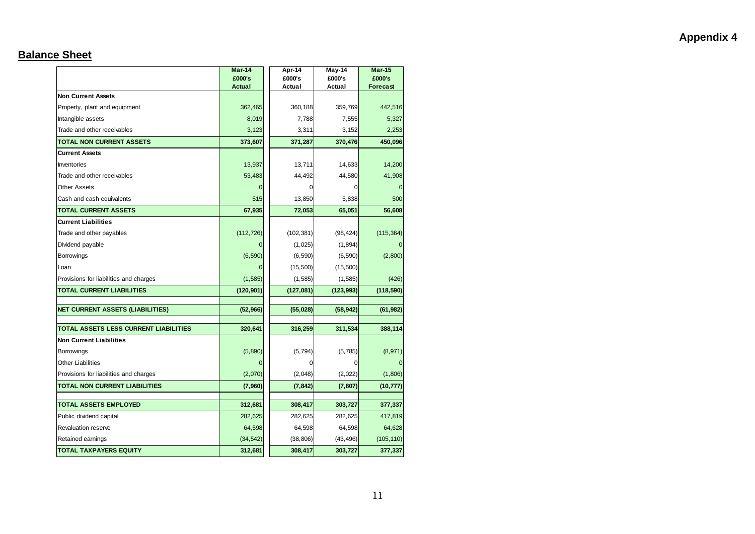#### **Balance Sheet**

|                                                    | Mar-14<br>£000's     | Apr-14<br>£000's     | May-14<br>£000's     | $Mar-15$<br>£000's    |
|----------------------------------------------------|----------------------|----------------------|----------------------|-----------------------|
| <b>Non Current Assets</b>                          | <b>Actual</b>        | Actual               | Actual               | <b>Forecast</b>       |
| Property, plant and equipment                      | 362,465              | 360,188              | 359,769              | 442,516               |
| Intangible assets                                  | 8,019                | 7,788                | 7,555                | 5,327                 |
| Trade and other receivables                        | 3,123                | 3,311                | 3,152                | 2,253                 |
| <b>TOTAL NON CURRENT ASSETS</b>                    | 373,607              | 371,287              | 370,476              | 450,096               |
| <b>Current Assets</b>                              |                      |                      |                      |                       |
| Inventories                                        | 13,937               | 13,711               | 14,633               | 14,200                |
| Trade and other receivables                        | 53,483               | 44,492               | 44,580               | 41,908                |
| <b>Other Assets</b>                                | $\Omega$             | 0                    | 0                    |                       |
| Cash and cash equivalents                          | 515                  | 13,850               | 5,838                | 500                   |
| <b>TOTAL CURRENT ASSETS</b>                        | 67,935               | 72,053               | 65,051               | 56,608                |
| <b>Current Liabilities</b>                         |                      |                      |                      |                       |
| Trade and other payables                           | (112, 726)           | (102, 381)           | (98, 424)            | (115, 364)            |
| Dividend payable                                   | $\Omega$             | (1,025)              | (1,894)              |                       |
| Borrowings                                         | (6, 590)             | (6, 590)             | (6, 590)             | (2,800)               |
| Loan                                               | $\Omega$             | (15,500)             | (15,500)             |                       |
| Provisions for liabilities and charges             | (1, 585)             | (1, 585)             | (1,585)              | (426)                 |
| <b>TOTAL CURRENT LIABILITIES</b>                   | (120, 901)           | (127,081)            | (123, 993)           | (118, 590)            |
|                                                    |                      |                      |                      |                       |
| <b>NET CURRENT ASSETS (LIABILITIES)</b>            | (52,966)             | (55, 028)            | (58, 942)            | (61, 982)             |
| <b>TOTAL ASSETS LESS CURRENT LIABILITIES</b>       | 320,641              | 316,259              | 311,534              | 388,114               |
| <b>Non Current Liabilities</b>                     |                      |                      |                      |                       |
| <b>Borrowings</b>                                  | (5,890)              | (5, 794)             | (5,785)              | (8,971)               |
| <b>Other Liabilities</b>                           | $\mathbf{0}$         | 0                    | 0                    |                       |
| Provisions for liabilities and charges             | (2,070)              | (2,048)              | (2,022)              | (1,806)               |
| <b>TOTAL NON CURRENT LIABILITIES</b>               | (7,960)              | (7, 842)             | (7, 807)             | (10, 777)             |
|                                                    |                      |                      |                      |                       |
| <b>TOTAL ASSETS EMPLOYED</b>                       | 312,681              | 308,417              | 303,727              | 377,337               |
| Public dividend capital                            | 282,625              | 282,625              | 282,625              | 417,819               |
| Revaluation reserve                                | 64,598               | 64,598               | 64,598               | 64,628                |
| Retained earnings<br><b>TOTAL TAXPAYERS EQUITY</b> | (34, 542)<br>312,681 | (38, 806)<br>308,417 | (43, 496)<br>303,727 | (105, 110)<br>377,337 |
|                                                    |                      |                      |                      |                       |

## **Appendix 4**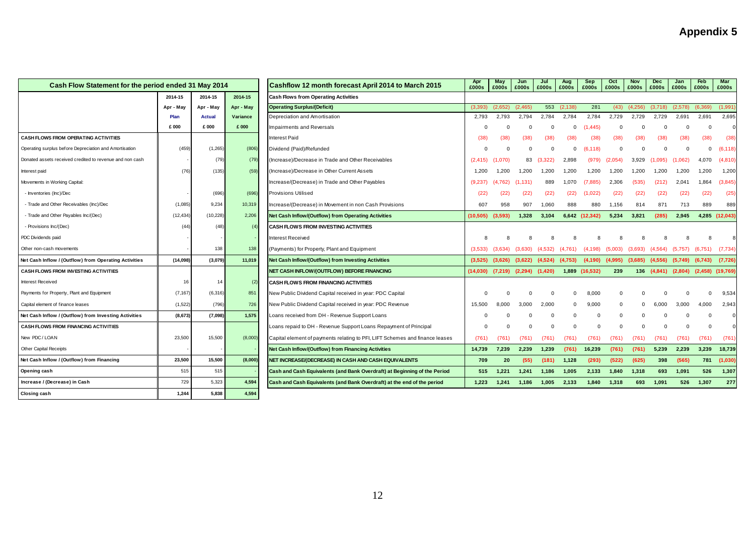|                                                          | Cash Flow Statement for the period ended 31 May 2014<br>Cashflow 12 month forecast April 2014 to March 2015 |               | Apr<br>£000s | May<br>£000s                                                                 | Jun<br>£000s | Jul<br>£000s | Aug<br>£000s        | <b>Sep</b><br>£000s | Oct<br>£000s | Nov<br>£000s   | <b>Dec</b><br>£000s | Jan<br>£000s | Feb<br>£000s | Mar<br>£000s        |                      |           |
|----------------------------------------------------------|-------------------------------------------------------------------------------------------------------------|---------------|--------------|------------------------------------------------------------------------------|--------------|--------------|---------------------|---------------------|--------------|----------------|---------------------|--------------|--------------|---------------------|----------------------|-----------|
|                                                          | 2014-15                                                                                                     | 2014-15       | 2014-15      | <b>Cash Flows from Operating Activities</b>                                  |              |              |                     |                     |              |                |                     |              |              |                     |                      |           |
|                                                          | Apr - May                                                                                                   | Apr - May     | Apr - May    | <b>Operating Surplus/(Deficit)</b>                                           |              | (2.652)      | (2.465)             |                     | 553 (2,138)  | 281            | (43)                | (4.256)      | (3.718)      | (2.578)             | (6.369)              | (1,991)   |
|                                                          | Plan                                                                                                        | <b>Actual</b> | Variance     | Depreciation and Amortisation<br>2,793                                       |              | 2,793        | 2,794               | 2,784               | 2,784        | 2,784          | 2,729               | 2,729        | 2,729        | 2,691               | 2,691                | 2,695     |
|                                                          | £ 000                                                                                                       | £000          | £ 000        | Impairments and Reversals                                                    | $\Omega$     | C            | $\Omega$            | $\Omega$            | $\Omega$     | (1, 445)       | $\Omega$            |              |              |                     | $\Omega$             | $\Omega$  |
| CASH FLOWS FROM OPERATING ACTIVITIES                     |                                                                                                             |               |              | <b>Interest Paid</b>                                                         | (38)         | (38)         | (38)                | (38)                | (38)         | (38)           | (38)                | (38)         | (38)         | (38)                | (38)                 | (38)      |
| Operating surplus before Depreciation and Amortisation   | (459                                                                                                        | (1,265)       | (806)        | Dividend (Paid)/Refunded                                                     |              |              | $\Omega$            | $\Omega$            | $^{\circ}$   | (6, 118)       | $\Omega$            |              | $\Omega$     |                     | $\Omega$             | (6, 118)  |
| Donated assets received credited to revenue and non cash |                                                                                                             | (79)          | (79)         | (Increase)/Decrease in Trade and Other Receivables                           | (2, 415)     | (1,070)      | 83                  | (3,322)             | 2,898        | (979)          | (2,054)             | 3,929        | (1,095)      | (1,062)             | 4,070                | (4,810)   |
| Interest paid                                            | (76)                                                                                                        | (135)         | (59)         | (Increase)/Decrease in Other Current Assets                                  | 1,200        | 1,200        | 1,200               | 1,200               | 1,200        | 1,200          | 1,200               | 1,200        | 1,200        | 1,200               | 1,200                | 1,200     |
| Movements in Working Capital:                            |                                                                                                             |               |              | Increase/(Decrease) in Trade and Other Payables                              | (9,237)      | (4, 762)     | (1, 131)            | 889                 | 1,070        | (7,885)        | 2,306               | (535)        | (212)        | 2,041               | 1,864                | (3,845)   |
| - Inventories (Inc)/Dec                                  |                                                                                                             | (696)         | (696)        | <b>Provisions Utilised</b>                                                   | (22)         | (22)         | (22)                | (22)                | (22)         | (1,022)        | (22)                | (22)         | (22)         | (22)                | (22)                 | (25)      |
| - Trade and Other Receivables (Inc)/Dec                  | (1,085)                                                                                                     | 9,234         | 10,319       | Increase/(Decrease) in Movement in non Cash Provisions                       | 607          | 958          | 907                 | 1,060               | 888          | 880            | 1,156               | 814          | 871          | 713                 | 889                  | 889       |
| - Trade and Other Payables Inc/(Dec)                     | (12, 434)                                                                                                   | (10, 228)     | 2,206        | <b>Net Cash Inflow/(Outflow) from Operating Activities</b>                   | (10,505)     | (3.593)      | 1,328               | 3,104               |              | 6,642 (12,342) | 5,234               | 3,821        | (285)        | 2,945               | 4,285                | (12, 043) |
| - Provisions Inc/(Dec)                                   | (44)                                                                                                        | (48)          | (4)          | <b>CASH FLOWS FROM INVESTING ACTIVITIES</b>                                  |              |              |                     |                     |              |                |                     |              |              |                     |                      |           |
| PDC Dividends paid                                       |                                                                                                             |               |              | Interest Received                                                            |              |              |                     |                     |              |                |                     |              |              |                     |                      |           |
| Other non-cash movements                                 |                                                                                                             | 138           | 138          | (Payments) for Property, Plant and Equipment                                 | (3,533)      | (3.634)      | (3.630)             | (4.532)             | (4.761)      | (4, 198)       | (5.003)             | (3.693)      | (4, 564)     | (5,757)             | (6.751)              | (7, 734)  |
| Net Cash Inflow / (Outflow) from Operating Activities    | (14, 098)                                                                                                   | (3,079)       | 11,019       | Net Cash Inflow/(Outflow) from Investing Activities                          | (3,525)      | (3,626)      | (3,622)             | $(4,524)$ $(4,753)$ |              | (4, 190)       | (4,995)             | (3,685)      | (4,556)      | $(5,749)$ $(6,743)$ |                      | (7,726)   |
| <b>CASH FLOWS FROM INVESTING ACTIVITIES</b>              |                                                                                                             |               |              | NET CASH INFLOW/(OUTFLOW) BEFORE FINANCING                                   | (14,030)     | (7,219)      | $(2,294)$ $(1,420)$ |                     |              | 1,889 (16,532) | 239                 |              | 136 (4,841)  | (2,804)             | $(2,458)$ $(19,769)$ |           |
| Interest Received                                        | 16                                                                                                          | 14            | (2)          | <b>CASH FLOWS FROM FINANCING ACTIVITIES</b>                                  |              |              |                     |                     |              |                |                     |              |              |                     |                      |           |
| Payments for Property, Plant and Equipment               | (7, 167)                                                                                                    | (6, 316)      | 851          | New Public Dividend Capital received in year: PDC Capital                    | n            | $\Omega$     | $\Omega$            | $\Omega$            | $\Omega$     | 8,000          | 0                   |              |              |                     | $\Omega$             | 9,534     |
| Capital element of finance leases                        | (1,522)                                                                                                     | (796)         | 726          | New Public Dividend Capital received in year: PDC Revenue                    | 15,500       | 8,000        | 3,000               | 2,000               | $\Omega$     | 9,000          | $\Omega$            |              | 6.000        | 3,000               | 4,000                | 2,943     |
| Net Cash Inflow / (Outflow) from Investing Activities    | (8, 673)                                                                                                    | (7,098)       | 1,575        | Loans received from DH - Revenue Support Loans                               | O            |              | $\Omega$            | $\Omega$            | $\Omega$     | 0              | 0                   |              |              |                     | $\Omega$             |           |
| CASH FLOWS FROM FINANCING ACTIVITIES                     |                                                                                                             |               |              | Loans repaid to DH - Revenue Support Loans Repayment of Principal            | 0            |              | $\Omega$            | $\Omega$            | $\Omega$     | $\Omega$       | $\Omega$            |              | $\Omega$     |                     | $\Omega$             |           |
| New PDC/LOAN                                             | 23,500                                                                                                      | 15,500        | (8,000)      | Capital element of payments relating to PFI, LIFT Schemes and finance leases | (761)        | (761)        | (761)               | (761)               | (761)        | (761)          | (761)               | (761)        | (761)        | (761)               | (761)                | (761)     |
| Other Capital Receipts                                   |                                                                                                             |               |              | <b>Net Cash Inflow/(Outflow) from Financing Activities</b>                   | 14,739       | 7,239        | 2,239               | 1,239               | (761)        | 16,239         | (761)               | (761)        | 5,239        | 2,239               | 3,239                | 18,739    |
| Net Cash Inflow / (Outflow) from Financing               | 23,500                                                                                                      | 15,500        | (8,000)      | NET INCREASE/(DECREASE) IN CASH AND CASH EQUIVALENTS                         | 709          | 20           | (55)                | (181)               | 1,128        | (293)          | (522)               | (625)        | 398          | (565)               | 781                  | (1,030)   |
| Opening cash                                             | 515                                                                                                         | 515           |              | Cash and Cash Equivalents (and Bank Overdraft) at Beginning of the Period    | 515          | 1,221        | 1,241               | 1,186               | 1,005        | 2,133          | 1,840               | 1,318        | 693          | 1,091               | 526                  | 1,307     |
| Increase / (Decrease) in Cash                            | 729                                                                                                         | 5,323         | 4,594        | Cash and Cash Equivalents (and Bank Overdraft) at the end of the period      | 1.223        | 1.241        | 1.186               | 1.005               | 2.133        | 1,840          | 1,318               | 693          | 1.091        | 526                 | 1,307                | 277       |
| Closing cash                                             | 1.244                                                                                                       | 5,838         | 4,594        |                                                                              |              |              |                     |                     |              |                |                     |              |              |                     |                      |           |